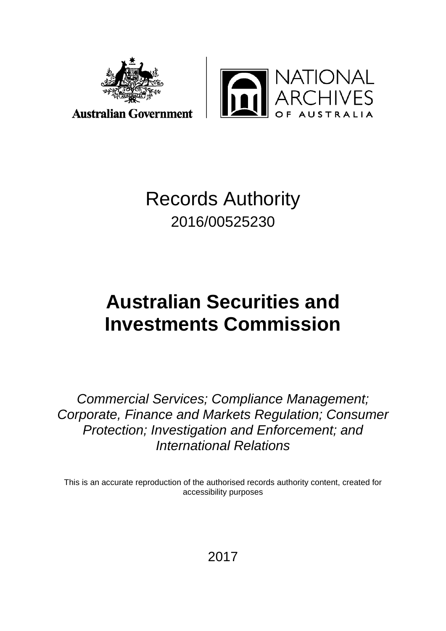



### **Australian Government**

# Records Authority 2016/00525230

# **Australian Securities and Investments Commission**

*Commercial Services; Compliance Management; Corporate, Finance and Markets Regulation; Consumer Protection; Investigation and Enforcement; and International Relations*

This is an accurate reproduction of the authorised records authority content, created for accessibility purposes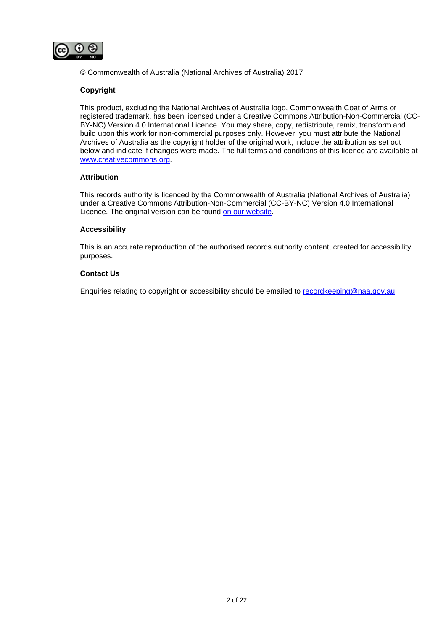

© Commonwealth of Australia (National Archives of Australia) 2017

#### **Copyright**

This product, excluding the National Archives of Australia logo, Commonwealth Coat of Arms or registered trademark, has been licensed under a Creative Commons Attribution-Non-Commercial (CC-BY-NC) Version 4.0 International Licence. You may share, copy, redistribute, remix, transform and build upon this work for non-commercial purposes only. However, you must attribute the National Archives of Australia as the copyright holder of the original work, include the attribution as set out below and indicate if changes were made. The full terms and conditions of this licence are available at [www.creativecommons.org.](http://www.creativecommons.org/)

#### **Attribution**

This records authority is licenced by the Commonwealth of Australia (National Archives of Australia) under a Creative Commons Attribution-Non-Commercial (CC-BY-NC) Version 4.0 International Licence. The original version can be found [on our website.](http://www.naa.gov.au/)

#### **Accessibility**

This is an accurate reproduction of the authorised records authority content, created for accessibility purposes.

#### **Contact Us**

Enquiries relating to copyright or accessibility should be emailed to [recordkeeping@naa.gov.au.](mailto:recordkeeping@naa.gov.au)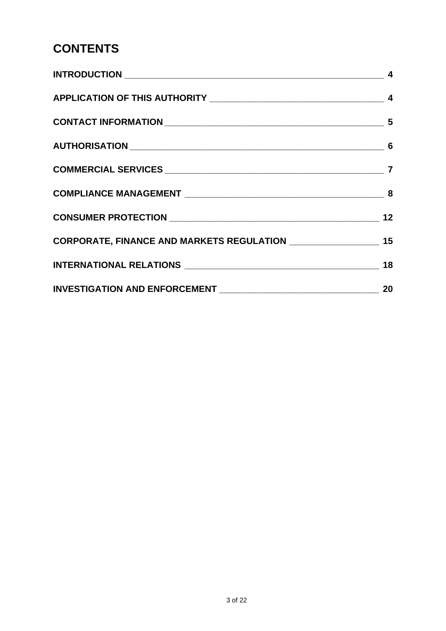# **CONTENTS**

| $\overline{\phantom{a}}$ 4 |
|----------------------------|
|                            |
|                            |
|                            |
|                            |
|                            |
|                            |
|                            |
|                            |
|                            |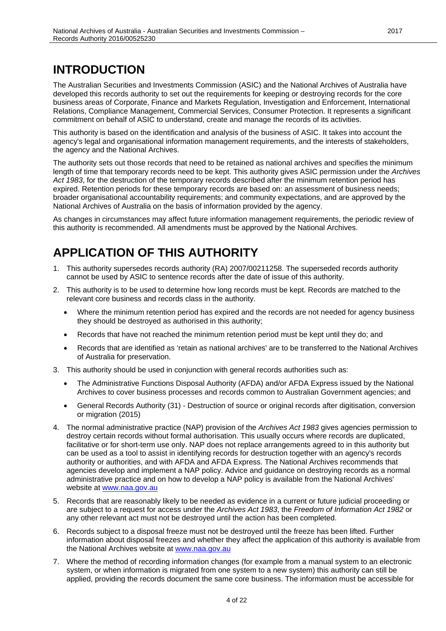# <span id="page-3-0"></span>**INTRODUCTION**

The Australian Securities and Investments Commission (ASIC) and the National Archives of Australia have developed this records authority to set out the requirements for keeping or destroying records for the core business areas of Corporate, Finance and Markets Regulation, Investigation and Enforcement, International Relations, Compliance Management, Commercial Services, Consumer Protection. It represents a significant commitment on behalf of ASIC to understand, create and manage the records of its activities.

This authority is based on the identification and analysis of the business of ASIC. It takes into account the agency's legal and organisational information management requirements, and the interests of stakeholders, the agency and the National Archives.

The authority sets out those records that need to be retained as national archives and specifies the minimum length of time that temporary records need to be kept. This authority gives ASIC permission under the *Archives Act 1983*, for the destruction of the temporary records described after the minimum retention period has expired. Retention periods for these temporary records are based on: an assessment of business needs; broader organisational accountability requirements; and community expectations, and are approved by the National Archives of Australia on the basis of information provided by the agency.

As changes in circumstances may affect future information management requirements, the periodic review of this authority is recommended. All amendments must be approved by the National Archives.

# <span id="page-3-1"></span>**APPLICATION OF THIS AUTHORITY**

- 1. This authority supersedes records authority (RA) 2007/00211258. The superseded records authority cannot be used by ASIC to sentence records after the date of issue of this authority.
- 2. This authority is to be used to determine how long records must be kept. Records are matched to the relevant core business and records class in the authority.
	- Where the minimum retention period has expired and the records are not needed for agency business they should be destroyed as authorised in this authority;
	- Records that have not reached the minimum retention period must be kept until they do; and
	- Records that are identified as 'retain as national archives' are to be transferred to the National Archives of Australia for preservation.
- 3. This authority should be used in conjunction with general records authorities such as:
	- The Administrative Functions Disposal Authority (AFDA) and/or AFDA Express issued by the National Archives to cover business processes and records common to Australian Government agencies; and
	- General Records Authority (31) Destruction of source or original records after digitisation, conversion or migration (2015)
- 4. The normal administrative practice (NAP) provision of the *Archives Act 1983* gives agencies permission to destroy certain records without formal authorisation. This usually occurs where records are duplicated, facilitative or for short-term use only. NAP does not replace arrangements agreed to in this authority but can be used as a tool to assist in identifying records for destruction together with an agency's records authority or authorities, and with AFDA and AFDA Express. The National Archives recommends that agencies develop and implement a NAP policy. Advice and guidance on destroying records as a normal administrative practice and on how to develop a NAP policy is available from the National Archives' website at [www.naa.gov.au](http://www.naa.gov.au/)
- 5. Records that are reasonably likely to be needed as evidence in a current or future judicial proceeding or are subject to a request for access under the *Archives Act 1983*, the *Freedom of Information Act 1982* or any other relevant act must not be destroyed until the action has been completed.
- 6. Records subject to a disposal freeze must not be destroyed until the freeze has been lifted. Further information about disposal freezes and whether they affect the application of this authority is available from the National Archives website at [www.naa.gov.au](http://www.naa.gov.au/)
- 7. Where the method of recording information changes (for example from a manual system to an electronic system, or when information is migrated from one system to a new system) this authority can still be applied, providing the records document the same core business. The information must be accessible for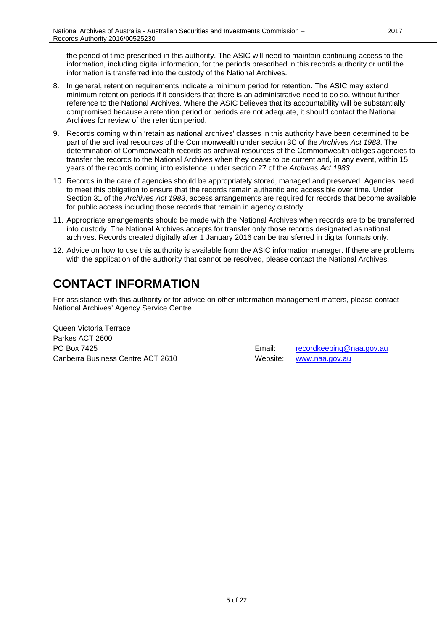the period of time prescribed in this authority. The ASIC will need to maintain continuing access to the information, including digital information, for the periods prescribed in this records authority or until the information is transferred into the custody of the National Archives.

- 8. In general, retention requirements indicate a minimum period for retention. The ASIC may extend minimum retention periods if it considers that there is an administrative need to do so, without further reference to the National Archives. Where the ASIC believes that its accountability will be substantially compromised because a retention period or periods are not adequate, it should contact the National Archives for review of the retention period.
- 9. Records coming within 'retain as national archives' classes in this authority have been determined to be part of the archival resources of the Commonwealth under section 3C of the *Archives Act 1983*. The determination of Commonwealth records as archival resources of the Commonwealth obliges agencies to transfer the records to the National Archives when they cease to be current and, in any event, within 15 years of the records coming into existence, under section 27 of the *Archives Act 1983*.
- 10. Records in the care of agencies should be appropriately stored, managed and preserved. Agencies need to meet this obligation to ensure that the records remain authentic and accessible over time. Under Section 31 of the *Archives Act 1983*, access arrangements are required for records that become available for public access including those records that remain in agency custody.
- 11. Appropriate arrangements should be made with the National Archives when records are to be transferred into custody. The National Archives accepts for transfer only those records designated as national archives. Records created digitally after 1 January 2016 can be transferred in digital formats only.
- 12. Advice on how to use this authority is available from the ASIC information manager. If there are problems with the application of the authority that cannot be resolved, please contact the National Archives.

# <span id="page-4-0"></span>**CONTACT INFORMATION**

For assistance with this authority or for advice on other information management matters, please contact National Archives' Agency Service Centre.

Queen Victoria Terrace Parkes ACT 2600 PO Box 7425 **Email:** [recordkeeping@naa.gov.au](mailto:recordkeeping@naa.gov.au) Canberra Business Centre ACT 2610 Website: [www.naa.gov.au](http://www.naa.gov.au/)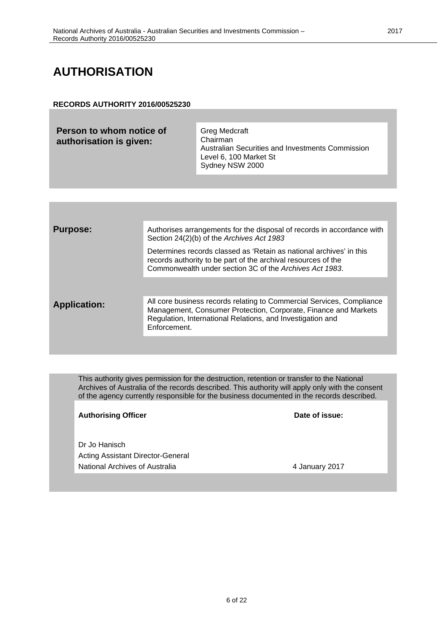# <span id="page-5-0"></span>**AUTHORISATION**

#### **RECORDS AUTHORITY 2016/00525230**

| Greg Medcraft<br>Chairman<br>Australian Securities and Investments Commission<br>Level 6, 100 Market St<br>Sydney NSW 2000 |
|----------------------------------------------------------------------------------------------------------------------------|
|                                                                                                                            |

| <b>Purpose:</b>     | Authorises arrangements for the disposal of records in accordance with<br>Section 24(2)(b) of the Archives Act 1983                                                                                                    |
|---------------------|------------------------------------------------------------------------------------------------------------------------------------------------------------------------------------------------------------------------|
|                     | Determines records classed as 'Retain as national archives' in this<br>records authority to be part of the archival resources of the<br>Commonwealth under section 3C of the Archives Act 1983.                        |
|                     |                                                                                                                                                                                                                        |
| <b>Application:</b> | All core business records relating to Commercial Services, Compliance<br>Management, Consumer Protection, Corporate, Finance and Markets<br>Regulation, International Relations, and Investigation and<br>Enforcement. |
|                     |                                                                                                                                                                                                                        |

This authority gives permission for the destruction, retention or transfer to the National Archives of Australia of the records described. This authority will apply only with the consent of the agency currently responsible for the business documented in the records described.

Authorising Officer **Contract Contract Contract Contract Contract Contract Contract Contract Contract Contract Contract Contract Contract Contract Contract Contract Contract Contract Contract Contract Contract Contract Con** Dr Jo Hanisch Acting Assistant Director-General National Archives of Australia 4 January 2017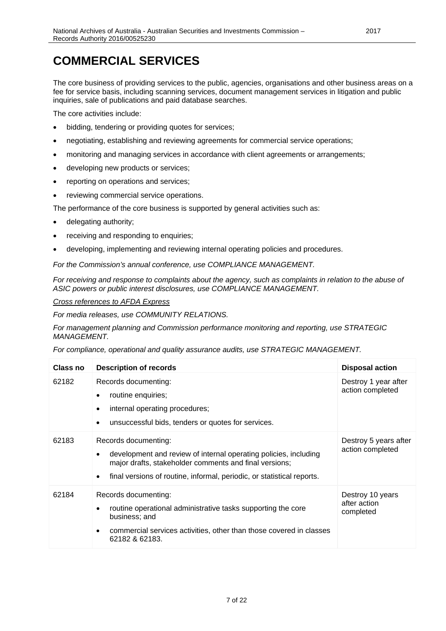# <span id="page-6-0"></span>**COMMERCIAL SERVICES**

The core business of providing services to the public, agencies, organisations and other business areas on a fee for service basis, including scanning services, document management services in litigation and public inquiries, sale of publications and paid database searches.

The core activities include:

- bidding, tendering or providing quotes for services;
- negotiating, establishing and reviewing agreements for commercial service operations;
- monitoring and managing services in accordance with client agreements or arrangements;
- developing new products or services;
- reporting on operations and services;
- reviewing commercial service operations.

The performance of the core business is supported by general activities such as:

- delegating authority;
- receiving and responding to enquiries;
- developing, implementing and reviewing internal operating policies and procedures.

*For the Commission's annual conference, use COMPLIANCE MANAGEMENT.*

*For receiving and response to complaints about the agency, such as complaints in relation to the abuse of ASIC powers or public interest disclosures, use COMPLIANCE MANAGEMENT.*

#### *Cross references to AFDA Express*

*For media releases, use COMMUNITY RELATIONS.*

*For management planning and Commission performance monitoring and reporting, use STRATEGIC MANAGEMENT.*

| <b>Class no</b> | <b>Description of records</b>                                                                                                                                                                                                     | <b>Disposal action</b>                        |
|-----------------|-----------------------------------------------------------------------------------------------------------------------------------------------------------------------------------------------------------------------------------|-----------------------------------------------|
| 62182           | Records documenting:<br>routine enquiries;<br>internal operating procedures;<br>unsuccessful bids, tenders or quotes for services.                                                                                                | Destroy 1 year after<br>action completed      |
| 62183           | Records documenting:<br>development and review of internal operating policies, including<br>major drafts, stakeholder comments and final versions;<br>final versions of routine, informal, periodic, or statistical reports.<br>٠ | Destroy 5 years after<br>action completed     |
| 62184           | Records documenting:<br>routine operational administrative tasks supporting the core<br>business; and<br>commercial services activities, other than those covered in classes<br>62182 & 62183.                                    | Destroy 10 years<br>after action<br>completed |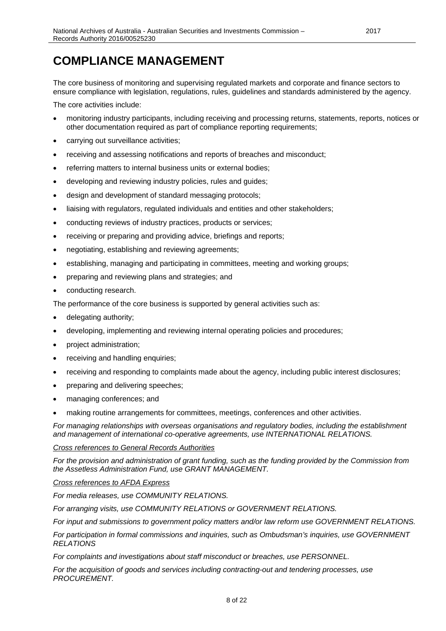### <span id="page-7-0"></span>**COMPLIANCE MANAGEMENT**

The core business of monitoring and supervising regulated markets and corporate and finance sectors to ensure compliance with legislation, regulations, rules, guidelines and standards administered by the agency.

The core activities include:

- monitoring industry participants, including receiving and processing returns, statements, reports, notices or other documentation required as part of compliance reporting requirements;
- carrying out surveillance activities;
- receiving and assessing notifications and reports of breaches and misconduct;
- referring matters to internal business units or external bodies;
- developing and reviewing industry policies, rules and guides;
- design and development of standard messaging protocols;
- liaising with regulators, regulated individuals and entities and other stakeholders;
- conducting reviews of industry practices, products or services;
- receiving or preparing and providing advice, briefings and reports;
- negotiating, establishing and reviewing agreements;
- establishing, managing and participating in committees, meeting and working groups;
- preparing and reviewing plans and strategies; and
- conducting research.

The performance of the core business is supported by general activities such as:

- delegating authority;
- developing, implementing and reviewing internal operating policies and procedures;
- project administration;
- receiving and handling enquiries;
- receiving and responding to complaints made about the agency, including public interest disclosures;
- preparing and delivering speeches;
- managing conferences; and
- making routine arrangements for committees, meetings, conferences and other activities.

*For managing relationships with overseas organisations and regulatory bodies, including the establishment and management of international co-operative agreements, use INTERNATIONAL RELATIONS.*

#### *Cross references to General Records Authorities*

*For the provision and administration of grant funding, such as the funding provided by the Commission from the Assetless Administration Fund, use GRANT MANAGEMENT.*

#### *Cross references to AFDA Express*

*For media releases, use COMMUNITY RELATIONS.*

*For arranging visits, use COMMUNITY RELATIONS or GOVERNMENT RELATIONS.*

*For input and submissions to government policy matters and/or law reform use GOVERNMENT RELATIONS.*

*For participation in formal commissions and inquiries, such as Ombudsman's inquiries, use GOVERNMENT RELATIONS*

*For complaints and investigations about staff misconduct or breaches, use PERSONNEL.*

*For the acquisition of goods and services including contracting-out and tendering processes, use PROCUREMENT.*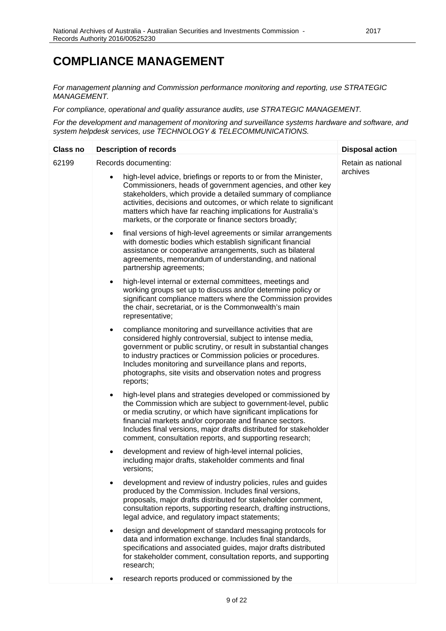### **COMPLIANCE MANAGEMENT**

*For management planning and Commission performance monitoring and reporting, use STRATEGIC MANAGEMENT.*

*For compliance, operational and quality assurance audits, use STRATEGIC MANAGEMENT.*

*For the development and management of monitoring and surveillance systems hardware and software, and system helpdesk services, use TECHNOLOGY & TELECOMMUNICATIONS.*

| <b>Class no</b> | <b>Description of records</b>                                                                                                                                                                                                                                                                                                                                                                         | <b>Disposal action</b> |
|-----------------|-------------------------------------------------------------------------------------------------------------------------------------------------------------------------------------------------------------------------------------------------------------------------------------------------------------------------------------------------------------------------------------------------------|------------------------|
| 62199           | Records documenting:                                                                                                                                                                                                                                                                                                                                                                                  | Retain as national     |
|                 | high-level advice, briefings or reports to or from the Minister,<br>Commissioners, heads of government agencies, and other key<br>stakeholders, which provide a detailed summary of compliance<br>activities, decisions and outcomes, or which relate to significant<br>matters which have far reaching implications for Australia's<br>markets, or the corporate or finance sectors broadly;         | archives               |
|                 | final versions of high-level agreements or similar arrangements<br>٠<br>with domestic bodies which establish significant financial<br>assistance or cooperative arrangements, such as bilateral<br>agreements, memorandum of understanding, and national<br>partnership agreements;                                                                                                                   |                        |
|                 | high-level internal or external committees, meetings and<br>$\bullet$<br>working groups set up to discuss and/or determine policy or<br>significant compliance matters where the Commission provides<br>the chair, secretariat, or is the Commonwealth's main<br>representative;                                                                                                                      |                        |
|                 | compliance monitoring and surveillance activities that are<br>٠<br>considered highly controversial, subject to intense media,<br>government or public scrutiny, or result in substantial changes<br>to industry practices or Commission policies or procedures.<br>Includes monitoring and surveillance plans and reports,<br>photographs, site visits and observation notes and progress<br>reports; |                        |
|                 | high-level plans and strategies developed or commissioned by<br>٠<br>the Commission which are subject to government-level, public<br>or media scrutiny, or which have significant implications for<br>financial markets and/or corporate and finance sectors.<br>Includes final versions, major drafts distributed for stakeholder<br>comment, consultation reports, and supporting research;         |                        |
|                 | development and review of high-level internal policies,<br>٠<br>including major drafts, stakeholder comments and final<br>versions;                                                                                                                                                                                                                                                                   |                        |
|                 | development and review of industry policies, rules and guides<br>produced by the Commission. Includes final versions,<br>proposals, major drafts distributed for stakeholder comment,<br>consultation reports, supporting research, drafting instructions,<br>legal advice, and regulatory impact statements;                                                                                         |                        |
|                 | design and development of standard messaging protocols for<br>٠<br>data and information exchange. Includes final standards,<br>specifications and associated guides, major drafts distributed<br>for stakeholder comment, consultation reports, and supporting<br>research;                                                                                                                           |                        |
|                 | research reports produced or commissioned by the                                                                                                                                                                                                                                                                                                                                                      |                        |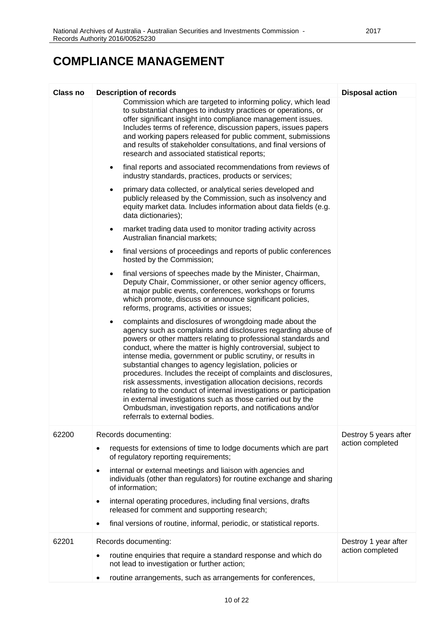### **COMPLIANCE MANAGEMENT**

| <b>Class no</b> | <b>Description of records</b>                                                                                                                                                                                                                                                                                                                                                                                                                                                                                                                                                                                                                                                                                                                                | <b>Disposal action</b>                    |
|-----------------|--------------------------------------------------------------------------------------------------------------------------------------------------------------------------------------------------------------------------------------------------------------------------------------------------------------------------------------------------------------------------------------------------------------------------------------------------------------------------------------------------------------------------------------------------------------------------------------------------------------------------------------------------------------------------------------------------------------------------------------------------------------|-------------------------------------------|
|                 | Commission which are targeted to informing policy, which lead<br>to substantial changes to industry practices or operations, or<br>offer significant insight into compliance management issues.<br>Includes terms of reference, discussion papers, issues papers<br>and working papers released for public comment, submissions<br>and results of stakeholder consultations, and final versions of<br>research and associated statistical reports;                                                                                                                                                                                                                                                                                                           |                                           |
|                 | final reports and associated recommendations from reviews of<br>$\bullet$<br>industry standards, practices, products or services;                                                                                                                                                                                                                                                                                                                                                                                                                                                                                                                                                                                                                            |                                           |
|                 | primary data collected, or analytical series developed and<br>$\bullet$<br>publicly released by the Commission, such as insolvency and<br>equity market data. Includes information about data fields (e.g.<br>data dictionaries);                                                                                                                                                                                                                                                                                                                                                                                                                                                                                                                            |                                           |
|                 | market trading data used to monitor trading activity across<br>$\bullet$<br>Australian financial markets;                                                                                                                                                                                                                                                                                                                                                                                                                                                                                                                                                                                                                                                    |                                           |
|                 | final versions of proceedings and reports of public conferences<br>$\bullet$<br>hosted by the Commission;                                                                                                                                                                                                                                                                                                                                                                                                                                                                                                                                                                                                                                                    |                                           |
|                 | final versions of speeches made by the Minister, Chairman,<br>$\bullet$<br>Deputy Chair, Commissioner, or other senior agency officers,<br>at major public events, conferences, workshops or forums<br>which promote, discuss or announce significant policies,<br>reforms, programs, activities or issues;                                                                                                                                                                                                                                                                                                                                                                                                                                                  |                                           |
|                 | complaints and disclosures of wrongdoing made about the<br>agency such as complaints and disclosures regarding abuse of<br>powers or other matters relating to professional standards and<br>conduct, where the matter is highly controversial, subject to<br>intense media, government or public scrutiny, or results in<br>substantial changes to agency legislation, policies or<br>procedures. Includes the receipt of complaints and disclosures,<br>risk assessments, investigation allocation decisions, records<br>relating to the conduct of internal investigations or participation<br>in external investigations such as those carried out by the<br>Ombudsman, investigation reports, and notifications and/or<br>referrals to external bodies. |                                           |
| 62200           | Records documenting:                                                                                                                                                                                                                                                                                                                                                                                                                                                                                                                                                                                                                                                                                                                                         | Destroy 5 years after<br>action completed |
|                 | requests for extensions of time to lodge documents which are part<br>$\bullet$<br>of regulatory reporting requirements;                                                                                                                                                                                                                                                                                                                                                                                                                                                                                                                                                                                                                                      |                                           |
|                 | internal or external meetings and liaison with agencies and<br>٠<br>individuals (other than regulators) for routine exchange and sharing<br>of information;                                                                                                                                                                                                                                                                                                                                                                                                                                                                                                                                                                                                  |                                           |
|                 | internal operating procedures, including final versions, drafts<br>$\bullet$<br>released for comment and supporting research;                                                                                                                                                                                                                                                                                                                                                                                                                                                                                                                                                                                                                                |                                           |
|                 | final versions of routine, informal, periodic, or statistical reports.                                                                                                                                                                                                                                                                                                                                                                                                                                                                                                                                                                                                                                                                                       |                                           |
| 62201           | Records documenting:<br>routine enquiries that require a standard response and which do<br>٠<br>not lead to investigation or further action;                                                                                                                                                                                                                                                                                                                                                                                                                                                                                                                                                                                                                 | Destroy 1 year after<br>action completed  |
|                 | routine arrangements, such as arrangements for conferences,                                                                                                                                                                                                                                                                                                                                                                                                                                                                                                                                                                                                                                                                                                  |                                           |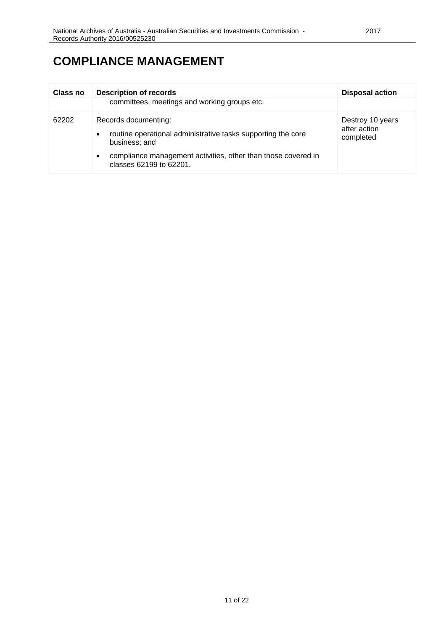| <b>Class no</b> | <b>Description of records</b><br>committees, meetings and working groups etc.                                      | <b>Disposal action</b>                        |
|-----------------|--------------------------------------------------------------------------------------------------------------------|-----------------------------------------------|
| 62202           | Records documenting:<br>routine operational administrative tasks supporting the core<br>$\bullet$<br>business; and | Destroy 10 years<br>after action<br>completed |
|                 | compliance management activities, other than those covered in<br>$\bullet$<br>classes 62199 to 62201.              |                                               |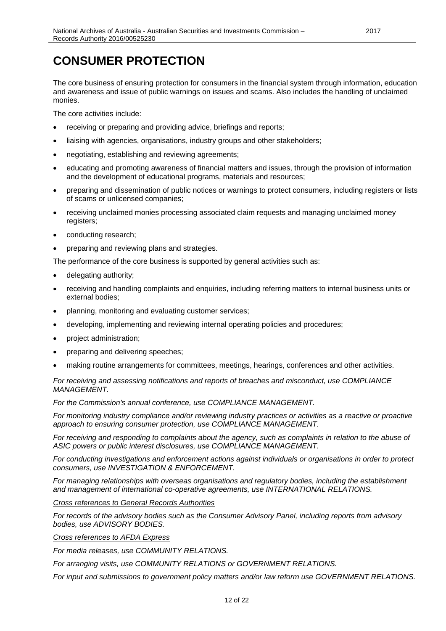## <span id="page-11-0"></span>**CONSUMER PROTECTION**

The core business of ensuring protection for consumers in the financial system through information, education and awareness and issue of public warnings on issues and scams. Also includes the handling of unclaimed monies.

The core activities include:

- receiving or preparing and providing advice, briefings and reports;
- liaising with agencies, organisations, industry groups and other stakeholders;
- negotiating, establishing and reviewing agreements;
- educating and promoting awareness of financial matters and issues, through the provision of information and the development of educational programs, materials and resources;
- preparing and dissemination of public notices or warnings to protect consumers, including registers or lists of scams or unlicensed companies;
- receiving unclaimed monies processing associated claim requests and managing unclaimed money registers;
- conducting research;
- preparing and reviewing plans and strategies.

The performance of the core business is supported by general activities such as:

- delegating authority;
- receiving and handling complaints and enquiries, including referring matters to internal business units or external bodies;
- planning, monitoring and evaluating customer services;
- developing, implementing and reviewing internal operating policies and procedures;
- project administration;
- preparing and delivering speeches;
- making routine arrangements for committees, meetings, hearings, conferences and other activities.

*For receiving and assessing notifications and reports of breaches and misconduct, use COMPLIANCE MANAGEMENT.*

*For the Commission's annual conference, use COMPLIANCE MANAGEMENT.*

*For monitoring industry compliance and/or reviewing industry practices or activities as a reactive or proactive approach to ensuring consumer protection, use COMPLIANCE MANAGEMENT.*

For receiving and responding to complaints about the agency, such as complaints in relation to the abuse of *ASIC powers or public interest disclosures, use COMPLIANCE MANAGEMENT.*

*For conducting investigations and enforcement actions against individuals or organisations in order to protect consumers, use INVESTIGATION & ENFORCEMENT.*

*For managing relationships with overseas organisations and regulatory bodies, including the establishment and management of international co-operative agreements, use INTERNATIONAL RELATIONS.*

*Cross references to General Records Authorities*

*For records of the advisory bodies such as the Consumer Advisory Panel, including reports from advisory bodies, use ADVISORY BODIES.*

*Cross references to AFDA Express*

*For media releases, use COMMUNITY RELATIONS.*

*For arranging visits, use COMMUNITY RELATIONS or GOVERNMENT RELATIONS.*

*For input and submissions to government policy matters and/or law reform use GOVERNMENT RELATIONS.*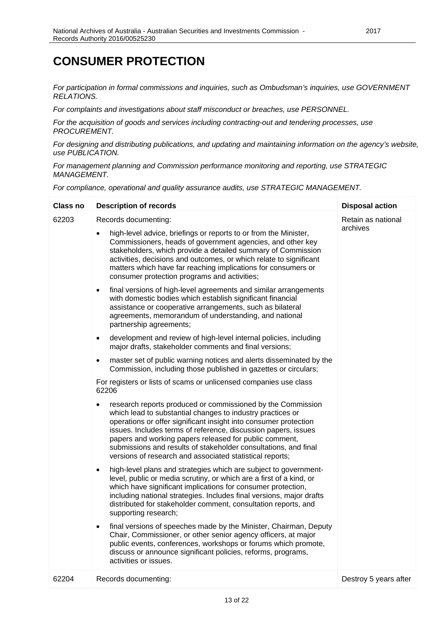### **CONSUMER PROTECTION**

*For participation in formal commissions and inquiries, such as Ombudsman's inquiries, use GOVERNMENT RELATIONS.*

*For complaints and investigations about staff misconduct or breaches, use PERSONNEL.*

*For the acquisition of goods and services including contracting-out and tendering processes, use PROCUREMENT.*

*For designing and distributing publications, and updating and maintaining information on the agency's website, use PUBLICATION.*

*For management planning and Commission performance monitoring and reporting, use STRATEGIC MANAGEMENT.*

| <b>Class no</b> | <b>Description of records</b>                                                                                                                                                                                                                                                                                                                                                                                                                                                                                                                                                                                                                                                                                                                                                                                                                                                                                                                                                                                                                                                                                                                                                                                                                                                                                                                                                                                                                                                                                                                                                                                                                                                                                                                                                                                                                                                                                                                          | <b>Disposal action</b>         |
|-----------------|--------------------------------------------------------------------------------------------------------------------------------------------------------------------------------------------------------------------------------------------------------------------------------------------------------------------------------------------------------------------------------------------------------------------------------------------------------------------------------------------------------------------------------------------------------------------------------------------------------------------------------------------------------------------------------------------------------------------------------------------------------------------------------------------------------------------------------------------------------------------------------------------------------------------------------------------------------------------------------------------------------------------------------------------------------------------------------------------------------------------------------------------------------------------------------------------------------------------------------------------------------------------------------------------------------------------------------------------------------------------------------------------------------------------------------------------------------------------------------------------------------------------------------------------------------------------------------------------------------------------------------------------------------------------------------------------------------------------------------------------------------------------------------------------------------------------------------------------------------------------------------------------------------------------------------------------------------|--------------------------------|
| 62203           | Records documenting:<br>high-level advice, briefings or reports to or from the Minister,<br>$\bullet$<br>Commissioners, heads of government agencies, and other key<br>stakeholders, which provide a detailed summary of Commission<br>activities, decisions and outcomes, or which relate to significant<br>matters which have far reaching implications for consumers or<br>consumer protection programs and activities;<br>final versions of high-level agreements and similar arrangements<br>$\bullet$<br>with domestic bodies which establish significant financial<br>assistance or cooperative arrangements, such as bilateral<br>agreements, memorandum of understanding, and national<br>partnership agreements;<br>development and review of high-level internal policies, including<br>$\bullet$<br>major drafts, stakeholder comments and final versions;<br>master set of public warning notices and alerts disseminated by the<br>$\bullet$<br>Commission, including those published in gazettes or circulars;<br>For registers or lists of scams or unlicensed companies use class<br>62206<br>research reports produced or commissioned by the Commission<br>$\bullet$<br>which lead to substantial changes to industry practices or<br>operations or offer significant insight into consumer protection<br>issues. Includes terms of reference, discussion papers, issues<br>papers and working papers released for public comment,<br>submissions and results of stakeholder consultations, and final<br>versions of research and associated statistical reports;<br>high-level plans and strategies which are subject to government-<br>$\bullet$<br>level, public or media scrutiny, or which are a first of a kind, or<br>which have significant implications for consumer protection,<br>including national strategies. Includes final versions, major drafts<br>distributed for stakeholder comment, consultation reports, and | Retain as national<br>archives |
|                 | supporting research;<br>final versions of speeches made by the Minister, Chairman, Deputy<br>$\bullet$<br>Chair, Commissioner, or other senior agency officers, at major<br>public events, conferences, workshops or forums which promote,<br>discuss or announce significant policies, reforms, programs,<br>activities or issues.                                                                                                                                                                                                                                                                                                                                                                                                                                                                                                                                                                                                                                                                                                                                                                                                                                                                                                                                                                                                                                                                                                                                                                                                                                                                                                                                                                                                                                                                                                                                                                                                                    |                                |
| 62204           | Records documenting:                                                                                                                                                                                                                                                                                                                                                                                                                                                                                                                                                                                                                                                                                                                                                                                                                                                                                                                                                                                                                                                                                                                                                                                                                                                                                                                                                                                                                                                                                                                                                                                                                                                                                                                                                                                                                                                                                                                                   | Destroy 5 years after          |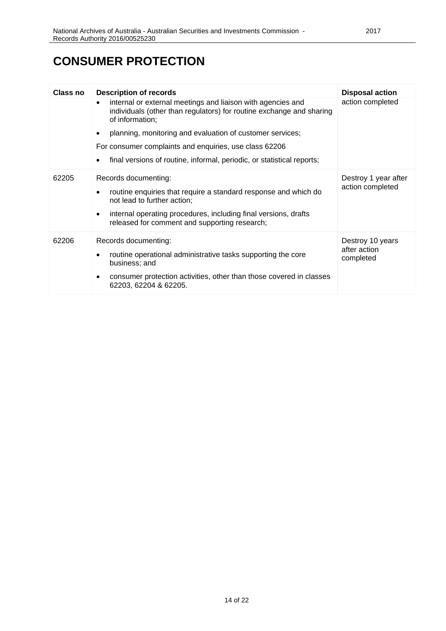### **CONSUMER PROTECTION**

| Class no | <b>Description of records</b>                                                                                                                                                                                                                           | <b>Disposal action</b>                        |
|----------|---------------------------------------------------------------------------------------------------------------------------------------------------------------------------------------------------------------------------------------------------------|-----------------------------------------------|
|          | internal or external meetings and liaison with agencies and<br>$\bullet$<br>individuals (other than regulators) for routine exchange and sharing<br>of information;                                                                                     | action completed                              |
|          | planning, monitoring and evaluation of customer services;                                                                                                                                                                                               |                                               |
|          | For consumer complaints and enquiries, use class 62206                                                                                                                                                                                                  |                                               |
|          | final versions of routine, informal, periodic, or statistical reports;                                                                                                                                                                                  |                                               |
| 62205    | Records documenting:<br>routine enquiries that require a standard response and which do<br>not lead to further action;<br>internal operating procedures, including final versions, drafts<br>$\bullet$<br>released for comment and supporting research; | Destroy 1 year after<br>action completed      |
| 62206    | Records documenting:<br>routine operational administrative tasks supporting the core<br>business; and<br>consumer protection activities, other than those covered in classes<br>62203, 62204 & 62205.                                                   | Destroy 10 years<br>after action<br>completed |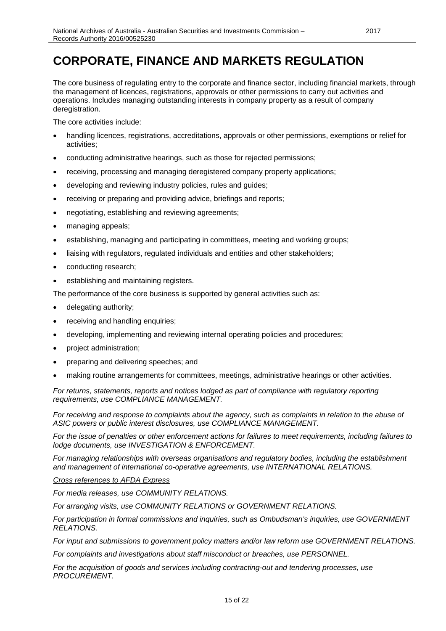# <span id="page-14-0"></span>**CORPORATE, FINANCE AND MARKETS REGULATION**

The core business of regulating entry to the corporate and finance sector, including financial markets, through the management of licences, registrations, approvals or other permissions to carry out activities and operations. Includes managing outstanding interests in company property as a result of company deregistration.

The core activities include:

- handling licences, registrations, accreditations, approvals or other permissions, exemptions or relief for activities;
- conducting administrative hearings, such as those for rejected permissions;
- receiving, processing and managing deregistered company property applications;
- developing and reviewing industry policies, rules and guides;
- receiving or preparing and providing advice, briefings and reports;
- negotiating, establishing and reviewing agreements;
- managing appeals;
- establishing, managing and participating in committees, meeting and working groups;
- liaising with regulators, regulated individuals and entities and other stakeholders;
- conducting research;
- establishing and maintaining registers.

The performance of the core business is supported by general activities such as:

- delegating authority;
- receiving and handling enquiries;
- developing, implementing and reviewing internal operating policies and procedures;
- project administration;
- preparing and delivering speeches; and
- making routine arrangements for committees, meetings, administrative hearings or other activities.

*For returns, statements, reports and notices lodged as part of compliance with regulatory reporting requirements, use COMPLIANCE MANAGEMENT.*

*For receiving and response to complaints about the agency, such as complaints in relation to the abuse of ASIC powers or public interest disclosures, use COMPLIANCE MANAGEMENT.*

*For the issue of penalties or other enforcement actions for failures to meet requirements, including failures to lodge documents, use INVESTIGATION & ENFORCEMENT.*

*For managing relationships with overseas organisations and regulatory bodies, including the establishment and management of international co-operative agreements, use INTERNATIONAL RELATIONS.*

#### *Cross references to AFDA Express*

*For media releases, use COMMUNITY RELATIONS.*

*For arranging visits, use COMMUNITY RELATIONS or GOVERNMENT RELATIONS.*

*For participation in formal commissions and inquiries, such as Ombudsman's inquiries, use GOVERNMENT RELATIONS.*

*For input and submissions to government policy matters and/or law reform use GOVERNMENT RELATIONS.*

*For complaints and investigations about staff misconduct or breaches, use PERSONNEL.*

*For the acquisition of goods and services including contracting-out and tendering processes, use PROCUREMENT.*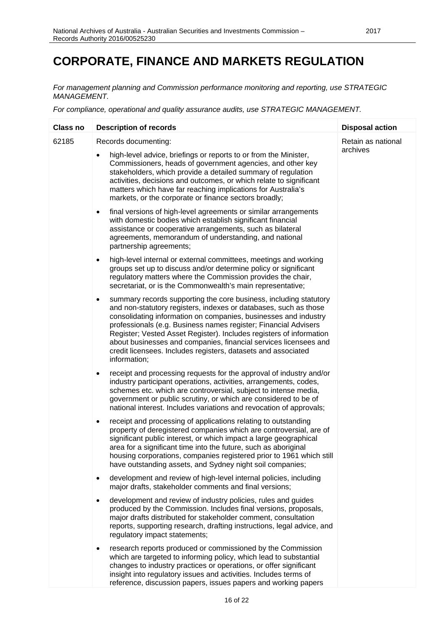## **CORPORATE, FINANCE AND MARKETS REGULATION**

*For management planning and Commission performance monitoring and reporting, use STRATEGIC MANAGEMENT.*

| <b>Class no</b> | <b>Description of records</b>                                                                                                                                                                                                                                                                                                                                                                                                                                                                                        | <b>Disposal action</b> |
|-----------------|----------------------------------------------------------------------------------------------------------------------------------------------------------------------------------------------------------------------------------------------------------------------------------------------------------------------------------------------------------------------------------------------------------------------------------------------------------------------------------------------------------------------|------------------------|
| 62185           | Records documenting:                                                                                                                                                                                                                                                                                                                                                                                                                                                                                                 | Retain as national     |
|                 | high-level advice, briefings or reports to or from the Minister,<br>Commissioners, heads of government agencies, and other key<br>stakeholders, which provide a detailed summary of regulation<br>activities, decisions and outcomes, or which relate to significant<br>matters which have far reaching implications for Australia's<br>markets, or the corporate or finance sectors broadly;                                                                                                                        | archives               |
|                 | final versions of high-level agreements or similar arrangements<br>$\bullet$<br>with domestic bodies which establish significant financial<br>assistance or cooperative arrangements, such as bilateral<br>agreements, memorandum of understanding, and national<br>partnership agreements;                                                                                                                                                                                                                          |                        |
|                 | high-level internal or external committees, meetings and working<br>$\bullet$<br>groups set up to discuss and/or determine policy or significant<br>regulatory matters where the Commission provides the chair,<br>secretariat, or is the Commonwealth's main representative;                                                                                                                                                                                                                                        |                        |
|                 | summary records supporting the core business, including statutory<br>$\bullet$<br>and non-statutory registers, indexes or databases, such as those<br>consolidating information on companies, businesses and industry<br>professionals (e.g. Business names register; Financial Advisers<br>Register; Vested Asset Register). Includes registers of information<br>about businesses and companies, financial services licensees and<br>credit licensees. Includes registers, datasets and associated<br>information; |                        |
|                 | receipt and processing requests for the approval of industry and/or<br>$\bullet$<br>industry participant operations, activities, arrangements, codes,<br>schemes etc. which are controversial, subject to intense media,<br>government or public scrutiny, or which are considered to be of<br>national interest. Includes variations and revocation of approvals;                                                                                                                                                   |                        |
|                 | receipt and processing of applications relating to outstanding<br>$\bullet$<br>property of deregistered companies which are controversial, are of<br>significant public interest, or which impact a large geographical<br>area for a significant time into the future, such as aboriginal<br>housing corporations, companies registered prior to 1961 which still<br>have outstanding assets, and Sydney night soil companies;                                                                                       |                        |
|                 | development and review of high-level internal policies, including<br>$\bullet$<br>major drafts, stakeholder comments and final versions;                                                                                                                                                                                                                                                                                                                                                                             |                        |
|                 | development and review of industry policies, rules and guides<br>$\bullet$<br>produced by the Commission. Includes final versions, proposals,<br>major drafts distributed for stakeholder comment, consultation<br>reports, supporting research, drafting instructions, legal advice, and<br>regulatory impact statements;                                                                                                                                                                                           |                        |
|                 | research reports produced or commissioned by the Commission<br>$\bullet$<br>which are targeted to informing policy, which lead to substantial<br>changes to industry practices or operations, or offer significant<br>insight into regulatory issues and activities. Includes terms of<br>reference, discussion papers, issues papers and working papers                                                                                                                                                             |                        |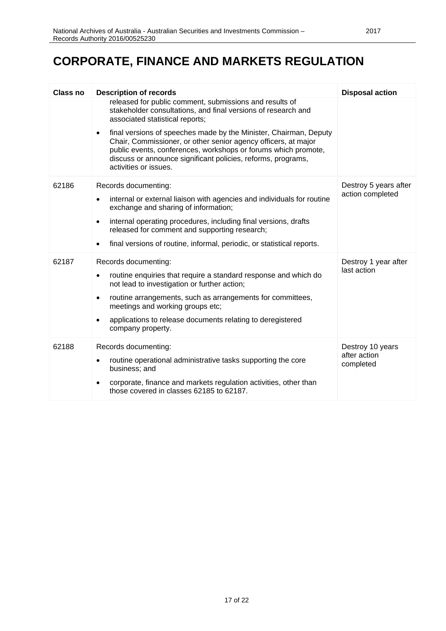## **CORPORATE, FINANCE AND MARKETS REGULATION**

| <b>Class no</b> | <b>Description of records</b><br>released for public comment, submissions and results of<br>stakeholder consultations, and final versions of research and<br>associated statistical reports;<br>final versions of speeches made by the Minister, Chairman, Deputy<br>$\bullet$<br>Chair, Commissioner, or other senior agency officers, at major<br>public events, conferences, workshops or forums which promote,<br>discuss or announce significant policies, reforms, programs,<br>activities or issues. | <b>Disposal action</b>                        |
|-----------------|-------------------------------------------------------------------------------------------------------------------------------------------------------------------------------------------------------------------------------------------------------------------------------------------------------------------------------------------------------------------------------------------------------------------------------------------------------------------------------------------------------------|-----------------------------------------------|
| 62186           | Records documenting:<br>internal or external liaison with agencies and individuals for routine<br>exchange and sharing of information;<br>internal operating procedures, including final versions, drafts<br>released for comment and supporting research;<br>final versions of routine, informal, periodic, or statistical reports.<br>$\bullet$                                                                                                                                                           | Destroy 5 years after<br>action completed     |
| 62187           | Records documenting:<br>routine enquiries that require a standard response and which do<br>$\bullet$<br>not lead to investigation or further action;<br>routine arrangements, such as arrangements for committees,<br>$\bullet$<br>meetings and working groups etc;<br>applications to release documents relating to deregistered<br>company property.                                                                                                                                                      | Destroy 1 year after<br>last action           |
| 62188           | Records documenting:<br>routine operational administrative tasks supporting the core<br>$\bullet$<br>business; and<br>corporate, finance and markets regulation activities, other than<br>those covered in classes 62185 to 62187.                                                                                                                                                                                                                                                                          | Destroy 10 years<br>after action<br>completed |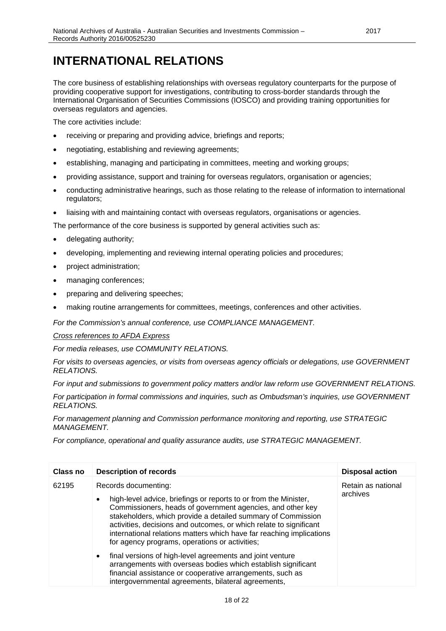### <span id="page-17-0"></span>**INTERNATIONAL RELATIONS**

The core business of establishing relationships with overseas regulatory counterparts for the purpose of providing cooperative support for investigations, contributing to cross-border standards through the International Organisation of Securities Commissions (IOSCO) and providing training opportunities for overseas regulators and agencies.

The core activities include:

- receiving or preparing and providing advice, briefings and reports;
- negotiating, establishing and reviewing agreements;
- establishing, managing and participating in committees, meeting and working groups;
- providing assistance, support and training for overseas regulators, organisation or agencies;
- conducting administrative hearings, such as those relating to the release of information to international regulators;
- liaising with and maintaining contact with overseas regulators, organisations or agencies.

The performance of the core business is supported by general activities such as:

- delegating authority;
- developing, implementing and reviewing internal operating policies and procedures;
- project administration;
- managing conferences;
- preparing and delivering speeches;
- making routine arrangements for committees, meetings, conferences and other activities.

*For the Commission's annual conference, use COMPLIANCE MANAGEMENT.*

#### *Cross references to AFDA Express*

*For media releases, use COMMUNITY RELATIONS.*

*For visits to overseas agencies, or visits from overseas agency officials or delegations, use GOVERNMENT RELATIONS.*

*For input and submissions to government policy matters and/or law reform use GOVERNMENT RELATIONS.*

*For participation in formal commissions and inquiries, such as Ombudsman's inquiries, use GOVERNMENT RELATIONS.*

*For management planning and Commission performance monitoring and reporting, use STRATEGIC MANAGEMENT.*

| Class no | <b>Description of records</b>                                                                                                                                                                                                                                                                                                                                                                                                       | <b>Disposal action</b>         |
|----------|-------------------------------------------------------------------------------------------------------------------------------------------------------------------------------------------------------------------------------------------------------------------------------------------------------------------------------------------------------------------------------------------------------------------------------------|--------------------------------|
| 62195    | Records documenting:<br>high-level advice, briefings or reports to or from the Minister,<br>$\bullet$<br>Commissioners, heads of government agencies, and other key<br>stakeholders, which provide a detailed summary of Commission<br>activities, decisions and outcomes, or which relate to significant<br>international relations matters which have far reaching implications<br>for agency programs, operations or activities; | Retain as national<br>archives |
|          | final versions of high-level agreements and joint venture<br>$\bullet$<br>arrangements with overseas bodies which establish significant<br>financial assistance or cooperative arrangements, such as<br>intergovernmental agreements, bilateral agreements,                                                                                                                                                                         |                                |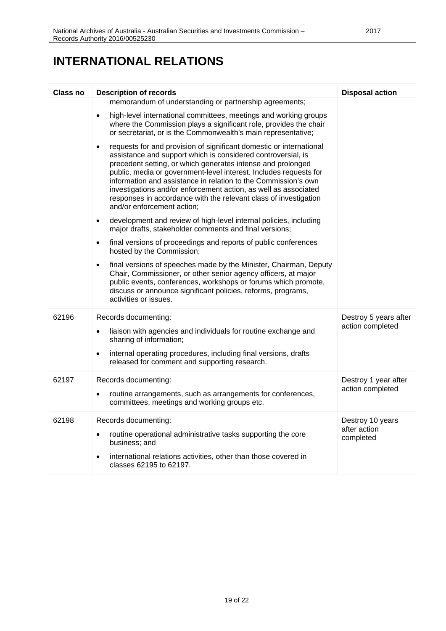### **INTERNATIONAL RELATIONS**

| Class no | <b>Description of records</b>                                                                                                                                                                                                                                                                                                                                                                                                                                                                                               | <b>Disposal action</b>                        |
|----------|-----------------------------------------------------------------------------------------------------------------------------------------------------------------------------------------------------------------------------------------------------------------------------------------------------------------------------------------------------------------------------------------------------------------------------------------------------------------------------------------------------------------------------|-----------------------------------------------|
|          | memorandum of understanding or partnership agreements;                                                                                                                                                                                                                                                                                                                                                                                                                                                                      |                                               |
|          | high-level international committees, meetings and working groups<br>$\bullet$<br>where the Commission plays a significant role, provides the chair<br>or secretariat, or is the Commonwealth's main representative;                                                                                                                                                                                                                                                                                                         |                                               |
|          | requests for and provision of significant domestic or international<br>$\bullet$<br>assistance and support which is considered controversial, is<br>precedent setting, or which generates intense and prolonged<br>public, media or government-level interest. Includes requests for<br>information and assistance in relation to the Commission's own<br>investigations and/or enforcement action, as well as associated<br>responses in accordance with the relevant class of investigation<br>and/or enforcement action; |                                               |
|          | development and review of high-level internal policies, including<br>$\bullet$<br>major drafts, stakeholder comments and final versions;                                                                                                                                                                                                                                                                                                                                                                                    |                                               |
|          | final versions of proceedings and reports of public conferences<br>$\bullet$<br>hosted by the Commission;                                                                                                                                                                                                                                                                                                                                                                                                                   |                                               |
|          | final versions of speeches made by the Minister, Chairman, Deputy<br>Chair, Commissioner, or other senior agency officers, at major<br>public events, conferences, workshops or forums which promote,<br>discuss or announce significant policies, reforms, programs,<br>activities or issues.                                                                                                                                                                                                                              |                                               |
| 62196    | Records documenting:<br>liaison with agencies and individuals for routine exchange and<br>$\bullet$<br>sharing of information;                                                                                                                                                                                                                                                                                                                                                                                              | Destroy 5 years after<br>action completed     |
|          | internal operating procedures, including final versions, drafts<br>$\bullet$<br>released for comment and supporting research.                                                                                                                                                                                                                                                                                                                                                                                               |                                               |
| 62197    | Records documenting:<br>routine arrangements, such as arrangements for conferences,<br>$\bullet$<br>committees, meetings and working groups etc.                                                                                                                                                                                                                                                                                                                                                                            | Destroy 1 year after<br>action completed      |
| 62198    | Records documenting:<br>routine operational administrative tasks supporting the core<br>$\bullet$<br>business; and<br>international relations activities, other than those covered in<br>classes 62195 to 62197.                                                                                                                                                                                                                                                                                                            | Destroy 10 years<br>after action<br>completed |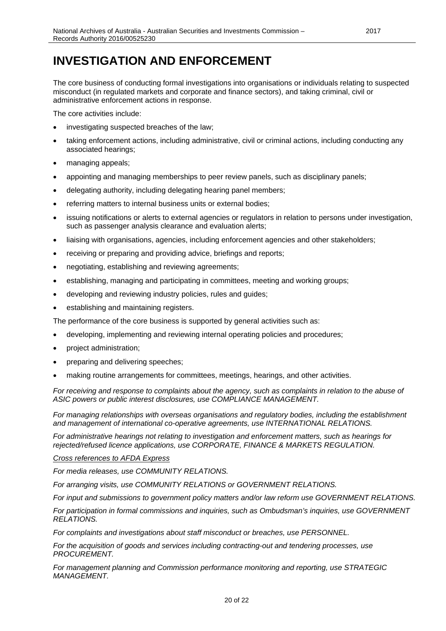### <span id="page-19-0"></span>**INVESTIGATION AND ENFORCEMENT**

The core business of conducting formal investigations into organisations or individuals relating to suspected misconduct (in regulated markets and corporate and finance sectors), and taking criminal, civil or administrative enforcement actions in response.

The core activities include:

- investigating suspected breaches of the law;
- taking enforcement actions, including administrative, civil or criminal actions, including conducting any associated hearings;
- managing appeals;
- appointing and managing memberships to peer review panels, such as disciplinary panels;
- delegating authority, including delegating hearing panel members;
- referring matters to internal business units or external bodies;
- issuing notifications or alerts to external agencies or regulators in relation to persons under investigation, such as passenger analysis clearance and evaluation alerts;
- liaising with organisations, agencies, including enforcement agencies and other stakeholders;
- receiving or preparing and providing advice, briefings and reports;
- negotiating, establishing and reviewing agreements;
- establishing, managing and participating in committees, meeting and working groups;
- developing and reviewing industry policies, rules and guides;
- establishing and maintaining registers.

The performance of the core business is supported by general activities such as:

- developing, implementing and reviewing internal operating policies and procedures;
- project administration;
- preparing and delivering speeches;
- making routine arrangements for committees, meetings, hearings, and other activities.

*For receiving and response to complaints about the agency, such as complaints in relation to the abuse of ASIC powers or public interest disclosures, use COMPLIANCE MANAGEMENT.*

*For managing relationships with overseas organisations and regulatory bodies, including the establishment and management of international co-operative agreements, use INTERNATIONAL RELATIONS.*

*For administrative hearings not relating to investigation and enforcement matters, such as hearings for rejected/refused licence applications, use CORPORATE, FINANCE & MARKETS REGULATION.*

#### *Cross references to AFDA Express*

*For media releases, use COMMUNITY RELATIONS.*

*For arranging visits, use COMMUNITY RELATIONS or GOVERNMENT RELATIONS.*

*For input and submissions to government policy matters and/or law reform use GOVERNMENT RELATIONS.*

*For participation in formal commissions and inquiries, such as Ombudsman's inquiries, use GOVERNMENT RELATIONS.*

*For complaints and investigations about staff misconduct or breaches, use PERSONNEL.*

*For the acquisition of goods and services including contracting-out and tendering processes, use PROCUREMENT.*

*For management planning and Commission performance monitoring and reporting, use STRATEGIC MANAGEMENT.*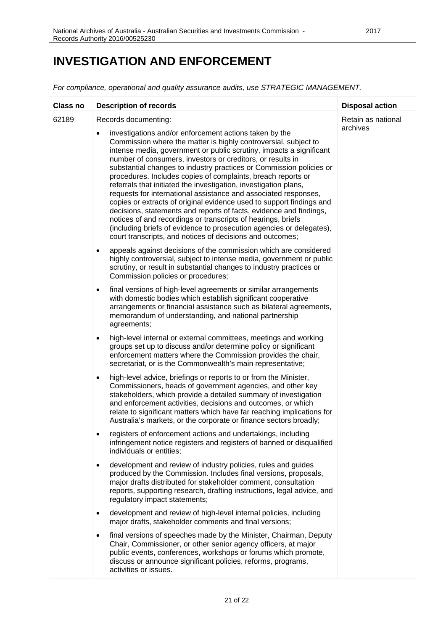### **INVESTIGATION AND ENFORCEMENT**

| <b>Class no</b> | <b>Description of records</b>                                                                                                                                                                                                                                                                                                                                                                                                                                                                                                                                                                                                                                                                                                                                                                                                                                                                                                        | <b>Disposal action</b>         |
|-----------------|--------------------------------------------------------------------------------------------------------------------------------------------------------------------------------------------------------------------------------------------------------------------------------------------------------------------------------------------------------------------------------------------------------------------------------------------------------------------------------------------------------------------------------------------------------------------------------------------------------------------------------------------------------------------------------------------------------------------------------------------------------------------------------------------------------------------------------------------------------------------------------------------------------------------------------------|--------------------------------|
| 62189           | Records documenting:<br>investigations and/or enforcement actions taken by the<br>$\bullet$<br>Commission where the matter is highly controversial, subject to<br>intense media, government or public scrutiny, impacts a significant<br>number of consumers, investors or creditors, or results in<br>substantial changes to industry practices or Commission policies or<br>procedures. Includes copies of complaints, breach reports or<br>referrals that initiated the investigation, investigation plans,<br>requests for international assistance and associated responses,<br>copies or extracts of original evidence used to support findings and<br>decisions, statements and reports of facts, evidence and findings,<br>notices of and recordings or transcripts of hearings, briefs<br>(including briefs of evidence to prosecution agencies or delegates),<br>court transcripts, and notices of decisions and outcomes; | Retain as national<br>archives |
|                 | appeals against decisions of the commission which are considered<br>$\bullet$<br>highly controversial, subject to intense media, government or public<br>scrutiny, or result in substantial changes to industry practices or<br>Commission policies or procedures;                                                                                                                                                                                                                                                                                                                                                                                                                                                                                                                                                                                                                                                                   |                                |
|                 | final versions of high-level agreements or similar arrangements<br>$\bullet$<br>with domestic bodies which establish significant cooperative<br>arrangements or financial assistance such as bilateral agreements,<br>memorandum of understanding, and national partnership<br>agreements;                                                                                                                                                                                                                                                                                                                                                                                                                                                                                                                                                                                                                                           |                                |
|                 | high-level internal or external committees, meetings and working<br>٠<br>groups set up to discuss and/or determine policy or significant<br>enforcement matters where the Commission provides the chair,<br>secretariat, or is the Commonwealth's main representative;                                                                                                                                                                                                                                                                                                                                                                                                                                                                                                                                                                                                                                                               |                                |
|                 | high-level advice, briefings or reports to or from the Minister,<br>$\bullet$<br>Commissioners, heads of government agencies, and other key<br>stakeholders, which provide a detailed summary of investigation<br>and enforcement activities, decisions and outcomes, or which<br>relate to significant matters which have far reaching implications for<br>Australia's markets, or the corporate or finance sectors broadly;                                                                                                                                                                                                                                                                                                                                                                                                                                                                                                        |                                |
|                 | registers of enforcement actions and undertakings, including<br>infringement notice registers and registers of banned or disqualified<br>individuals or entities;                                                                                                                                                                                                                                                                                                                                                                                                                                                                                                                                                                                                                                                                                                                                                                    |                                |
|                 | development and review of industry policies, rules and guides<br>٠<br>produced by the Commission. Includes final versions, proposals,<br>major drafts distributed for stakeholder comment, consultation<br>reports, supporting research, drafting instructions, legal advice, and<br>regulatory impact statements;                                                                                                                                                                                                                                                                                                                                                                                                                                                                                                                                                                                                                   |                                |
|                 | development and review of high-level internal policies, including<br>٠<br>major drafts, stakeholder comments and final versions;                                                                                                                                                                                                                                                                                                                                                                                                                                                                                                                                                                                                                                                                                                                                                                                                     |                                |
|                 | final versions of speeches made by the Minister, Chairman, Deputy<br>٠<br>Chair, Commissioner, or other senior agency officers, at major<br>public events, conferences, workshops or forums which promote,<br>discuss or announce significant policies, reforms, programs,<br>activities or issues.                                                                                                                                                                                                                                                                                                                                                                                                                                                                                                                                                                                                                                  |                                |